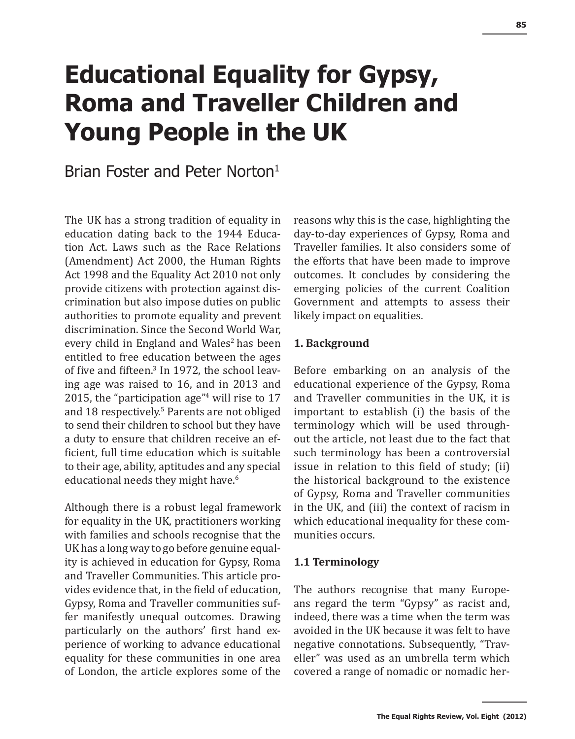# **Educational Equality for Gypsy, Roma and Traveller Children and Young People in the UK**

# Brian Foster and Peter Norton<sup>1</sup>

The UK has a strong tradition of equality in education dating back to the 1944 Education Act. Laws such as the Race Relations (Amendment) Act 2000, the Human Rights Act 1998 and the Equality Act 2010 not only provide citizens with protection against discrimination but also impose duties on public authorities to promote equality and prevent discrimination. Since the Second World War, every child in England and Wales<sup>2</sup> has been entitled to free education between the ages of five and fifteen.<sup>3</sup> In 1972, the school leaving age was raised to 16, and in 2013 and 2015, the "participation age"<sup>4</sup> will rise to 17 and 18 respectively.<sup>5</sup> Parents are not obliged to send their children to school but they have a duty to ensure that children receive an efficient, full time education which is suitable to their age, ability, aptitudes and any special educational needs they might have.<sup>6</sup>

Although there is a robust legal framework for equality in the UK, practitioners working with families and schools recognise that the UK has a long way to go before genuine equality is achieved in education for Gypsy, Roma and Traveller Communities. This article provides evidence that, in the field of education, Gypsy, Roma and Traveller communities suffer manifestly unequal outcomes. Drawing particularly on the authors' first hand experience of working to advance educational equality for these communities in one area of London, the article explores some of the

reasons why this is the case, highlighting the day-to-day experiences of Gypsy, Roma and Traveller families. It also considers some of the efforts that have been made to improve outcomes. It concludes by considering the emerging policies of the current Coalition Government and attempts to assess their likely impact on equalities.

#### **1. Background**

Before embarking on an analysis of the educational experience of the Gypsy, Roma and Traveller communities in the UK, it is important to establish (i) the basis of the terminology which will be used throughout the article, not least due to the fact that such terminology has been a controversial issue in relation to this field of study; (ii) the historical background to the existence of Gypsy, Roma and Traveller communities in the UK, and (iii) the context of racism in which educational inequality for these communities occurs.

#### **1.1 Terminology**

The authors recognise that many Europeans regard the term "Gypsy" as racist and, indeed, there was a time when the term was avoided in the UK because it was felt to have negative connotations. Subsequently, "Traveller" was used as an umbrella term which covered a range of nomadic or nomadic her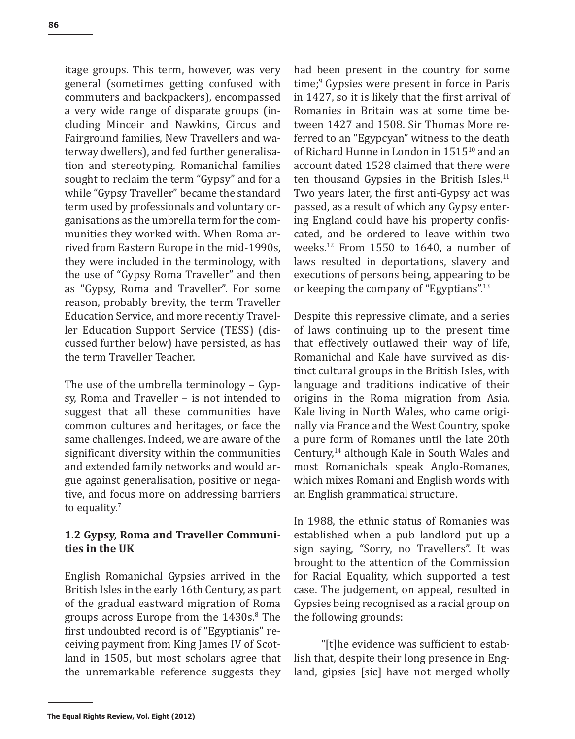itage groups. This term, however, was very general (sometimes getting confused with commuters and backpackers), encompassed a very wide range of disparate groups (including Minceir and Nawkins, Circus and Fairground families, New Travellers and waterway dwellers), and fed further generalisation and stereotyping. Romanichal families sought to reclaim the term "Gypsy" and for a while "Gypsy Traveller" became the standard term used by professionals and voluntary organisations as the umbrella term for the communities they worked with. When Roma arrived from Eastern Europe in the mid-1990s, they were included in the terminology, with the use of "Gypsy Roma Traveller" and then as "Gypsy, Roma and Traveller". For some reason, probably brevity, the term Traveller Education Service, and more recently Traveller Education Support Service (TESS) (discussed further below) have persisted, as has the term Traveller Teacher.

The use of the umbrella terminology – Gypsy, Roma and Traveller – is not intended to suggest that all these communities have common cultures and heritages, or face the same challenges. Indeed, we are aware of the significant diversity within the communities and extended family networks and would argue against generalisation, positive or negative, and focus more on addressing barriers to equality. $7$ 

# **1.2 Gypsy, Roma and Traveller Communities in the UK**

English Romanichal Gypsies arrived in the British Isles in the early 16th Century, as part of the gradual eastward migration of Roma groups across Europe from the 1430s.<sup>8</sup> The first undoubted record is of "Egyptianis" receiving payment from King James IV of Scotland in 1505, but most scholars agree that the unremarkable reference suggests they

had been present in the country for some time;<sup>9</sup> Gypsies were present in force in Paris in 1427, so it is likely that the first arrival of Romanies in Britain was at some time between 1427 and 1508. Sir Thomas More referred to an "Egypcyan" witness to the death of Richard Hunne in London in 151510 and an account dated 1528 claimed that there were ten thousand Gypsies in the British Isles.<sup>11</sup> Two years later, the first anti-Gypsy act was passed, as a result of which any Gypsy entering England could have his property confiscated, and be ordered to leave within two weeks.12 From 1550 to 1640, a number of laws resulted in deportations, slavery and executions of persons being, appearing to be or keeping the company of "Egyptians".<sup>13</sup>

Despite this repressive climate, and a series of laws continuing up to the present time that effectively outlawed their way of life, Romanichal and Kale have survived as distinct cultural groups in the British Isles, with language and traditions indicative of their origins in the Roma migration from Asia. Kale living in North Wales, who came originally via France and the West Country, spoke a pure form of Romanes until the late 20th Century,14 although Kale in South Wales and most Romanichals speak Anglo-Romanes, which mixes Romani and English words with an English grammatical structure.

In 1988, the ethnic status of Romanies was established when a pub landlord put up a sign saying, "Sorry, no Travellers". It was brought to the attention of the Commission for Racial Equality, which supported a test case. The judgement, on appeal, resulted in Gypsies being recognised as a racial group on the following grounds:

"[t]he evidence was sufficient to establish that, despite their long presence in England, gipsies [sic] have not merged wholly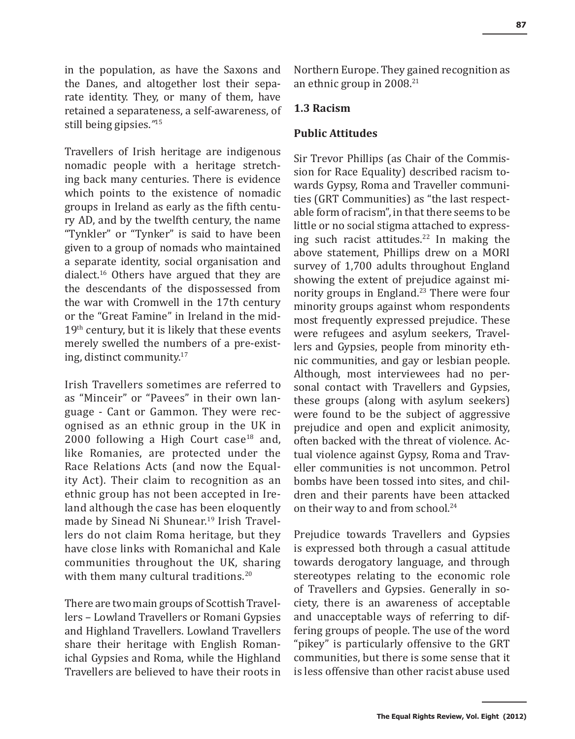in the population, as have the Saxons and the Danes, and altogether lost their separate identity. They, or many of them, have retained a separateness, a self-awareness, of still being gipsies.*"*<sup>15</sup>

Travellers of Irish heritage are indigenous nomadic people with a heritage stretching back many centuries. There is evidence which points to the existence of nomadic groups in Ireland as early as the fifth century AD, and by the twelfth century, the name "Tynkler" or "Tynker" is said to have been given to a group of nomads who maintained a separate identity, social organisation and dialect.16 Others have argued that they are the descendants of the dispossessed from the war with Cromwell in the 17th century or the "Great Famine" in Ireland in the mid- $19<sup>th</sup>$  century, but it is likely that these events merely swelled the numbers of a pre-existing, distinct community.17

Irish Travellers sometimes are referred to as "Minceir" or "Pavees" in their own language - Cant or Gammon. They were recognised as an ethnic group in the UK in  $2000$  following a High Court case<sup>18</sup> and, like Romanies, are protected under the Race Relations Acts (and now the Equality Act). Their claim to recognition as an ethnic group has not been accepted in Ireland although the case has been eloquently made by Sinead Ni Shunear.<sup>19</sup> Irish Travellers do not claim Roma heritage, but they have close links with Romanichal and Kale communities throughout the UK, sharing with them many cultural traditions.<sup>20</sup>

There are two main groups of Scottish Travellers – Lowland Travellers or Romani Gypsies and Highland Travellers. Lowland Travellers share their heritage with English Romanichal Gypsies and Roma, while the Highland Travellers are believed to have their roots in Northern Europe. They gained recognition as an ethnic group in 2008.21

#### **1.3 Racism**

#### **Public Attitudes**

Sir Trevor Phillips (as Chair of the Commission for Race Equality) described racism towards Gypsy, Roma and Traveller communities (GRT Communities) as "the last respectable form of racism", in that there seems to be little or no social stigma attached to expressing such racist attitudes.<sup>22</sup> In making the above statement, Phillips drew on a MORI survey of 1,700 adults throughout England showing the extent of prejudice against minority groups in England.<sup>23</sup> There were four minority groups against whom respondents most frequently expressed prejudice. These were refugees and asylum seekers, Travellers and Gypsies, people from minority ethnic communities, and gay or lesbian people. Although, most interviewees had no personal contact with Travellers and Gypsies, these groups (along with asylum seekers) were found to be the subject of aggressive prejudice and open and explicit animosity, often backed with the threat of violence. Actual violence against Gypsy, Roma and Traveller communities is not uncommon. Petrol bombs have been tossed into sites, and children and their parents have been attacked on their way to and from school.<sup>24</sup>

Prejudice towards Travellers and Gypsies is expressed both through a casual attitude towards derogatory language, and through stereotypes relating to the economic role of Travellers and Gypsies. Generally in society, there is an awareness of acceptable and unacceptable ways of referring to differing groups of people. The use of the word "pikey" is particularly offensive to the GRT communities, but there is some sense that it is less offensive than other racist abuse used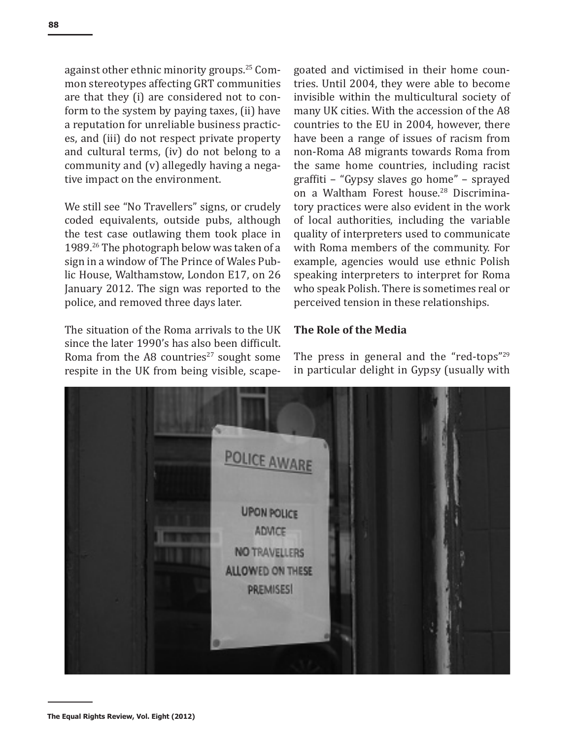against other ethnic minority groups.25 Common stereotypes affecting GRT communities are that they (i) are considered not to conform to the system by paying taxes, (ii) have a reputation for unreliable business practices, and (iii) do not respect private property and cultural terms, (iv) do not belong to a community and (v) allegedly having a negative impact on the environment.

We still see "No Travellers" signs, or crudely coded equivalents, outside pubs, although the test case outlawing them took place in 1989.<sup>26</sup> The photograph below was taken of a sign in a window of The Prince of Wales Public House, Walthamstow, London E17, on 26 January 2012. The sign was reported to the police, and removed three days later.

The situation of the Roma arrivals to the UK since the later 1990's has also been difficult. Roma from the A8 countries<sup>27</sup> sought some respite in the UK from being visible, scape-

goated and victimised in their home countries. Until 2004, they were able to become invisible within the multicultural society of many UK cities. With the accession of the A8 countries to the EU in 2004, however, there have been a range of issues of racism from non-Roma A8 migrants towards Roma from the same home countries, including racist graffiti – "Gypsy slaves go home" – sprayed on a Waltham Forest house.<sup>28</sup> Discriminatory practices were also evident in the work of local authorities, including the variable quality of interpreters used to communicate with Roma members of the community. For example, agencies would use ethnic Polish speaking interpreters to interpret for Roma who speak Polish. There is sometimes real or perceived tension in these relationships.

#### **The Role of the Media**

The press in general and the "red-tops"<sup>29</sup> in particular delight in Gypsy (usually with

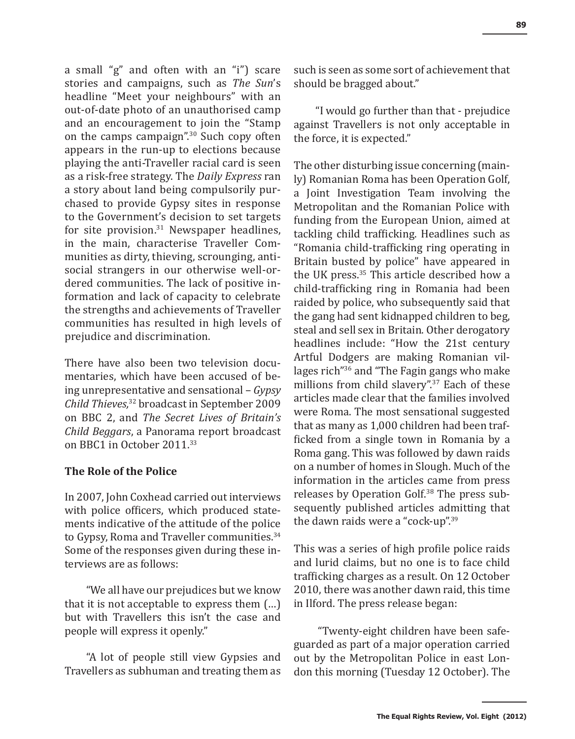a small "g" and often with an "i") scare stories and campaigns, such as *The Sun*'s headline "Meet your neighbours" with an out-of-date photo of an unauthorised camp and an encouragement to join the "Stamp on the camps campaign".30 Such copy often appears in the run-up to elections because playing the anti-Traveller racial card is seen as a risk-free strategy. The *Daily Express* ran a story about land being compulsorily purchased to provide Gypsy sites in response to the Government's decision to set targets for site provision. $31$  Newspaper headlines, in the main, characterise Traveller Communities as dirty, thieving, scrounging, antisocial strangers in our otherwise well-ordered communities. The lack of positive information and lack of capacity to celebrate the strengths and achievements of Traveller communities has resulted in high levels of prejudice and discrimination.

There have also been two television documentaries, which have been accused of being unrepresentative and sensational – *Gypsy Child Thieves,*32 broadcast in September 2009 on BBC 2, and *The Secret Lives of Britain's Child Beggars*, a Panorama report broadcast on BBC1 in October 2011.<sup>33</sup>

#### **The Role of the Police**

In 2007, John Coxhead carried out interviews with police officers, which produced statements indicative of the attitude of the police to Gypsy, Roma and Traveller communities.<sup>34</sup> Some of the responses given during these interviews are as follows:

"We all have our prejudices but we know that it is not acceptable to express them (…) but with Travellers this isn't the case and people will express it openly."

"A lot of people still view Gypsies and Travellers as subhuman and treating them as such is seen as some sort of achievement that should be bragged about."

"I would go further than that - prejudice against Travellers is not only acceptable in the force, it is expected."

The other disturbing issue concerning (mainly) Romanian Roma has been Operation Golf, a Joint Investigation Team involving the Metropolitan and the Romanian Police with funding from the European Union, aimed at tackling child trafficking. Headlines such as "Romania child-trafficking ring operating in Britain busted by police" have appeared in the UK press.35 This article described how a child-trafficking ring in Romania had been raided by police, who subsequently said that the gang had sent kidnapped children to beg, steal and sell sex in Britain. Other derogatory headlines include: "How the 21st century Artful Dodgers are making Romanian villages rich"36 and "The Fagin gangs who make millions from child slavery".<sup>37</sup> Each of these articles made clear that the families involved were Roma. The most sensational suggested that as many as 1,000 children had been trafficked from a single town in Romania by a Roma gang. This was followed by dawn raids on a number of homes in Slough. Much of the information in the articles came from press releases by Operation Golf.<sup>38</sup> The press subsequently published articles admitting that the dawn raids were a "cock-up".<sup>39</sup>

This was a series of high profile police raids and lurid claims, but no one is to face child trafficking charges as a result. On 12 October 2010, there was another dawn raid, this time in Ilford. The press release began:

"Twenty-eight children have been safeguarded as part of a major operation carried out by the Metropolitan Police in east London this morning (Tuesday 12 October). The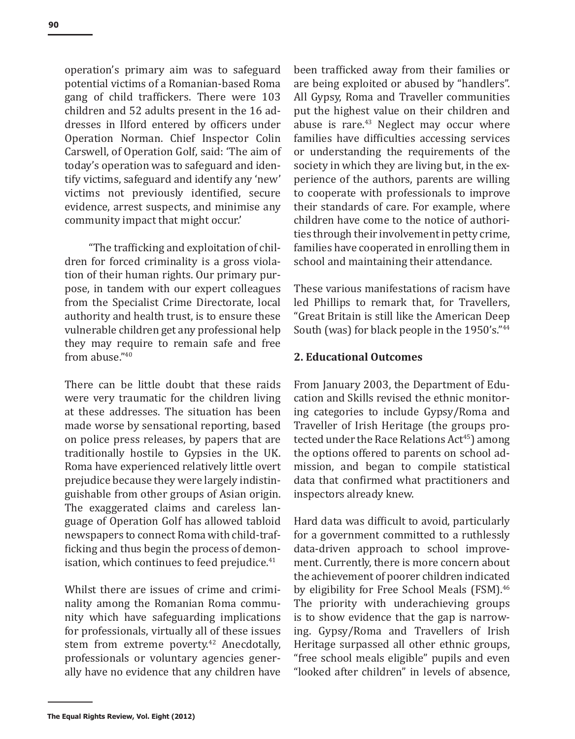operation's primary aim was to safeguard potential victims of a Romanian-based Roma gang of child traffickers. There were 103 children and 52 adults present in the 16 addresses in Ilford entered by officers under Operation Norman. Chief Inspector Colin Carswell, of Operation Golf, said: 'The aim of today's operation was to safeguard and identify victims, safeguard and identify any 'new' victims not previously identified, secure evidence, arrest suspects, and minimise any community impact that might occur.'

"The trafficking and exploitation of children for forced criminality is a gross violation of their human rights. Our primary purpose, in tandem with our expert colleagues from the Specialist Crime Directorate, local authority and health trust, is to ensure these vulnerable children get any professional help they may require to remain safe and free from abuse."<sup>40</sup>

There can be little doubt that these raids were very traumatic for the children living at these addresses. The situation has been made worse by sensational reporting, based on police press releases, by papers that are traditionally hostile to Gypsies in the UK. Roma have experienced relatively little overt prejudice because they were largely indistinguishable from other groups of Asian origin. The exaggerated claims and careless language of Operation Golf has allowed tabloid newspapers to connect Roma with child-trafficking and thus begin the process of demonisation, which continues to feed prejudice.<sup>41</sup>

Whilst there are issues of crime and criminality among the Romanian Roma community which have safeguarding implications for professionals, virtually all of these issues stem from extreme poverty.<sup>42</sup> Anecdotally, professionals or voluntary agencies generally have no evidence that any children have been trafficked away from their families or are being exploited or abused by "handlers". All Gypsy, Roma and Traveller communities put the highest value on their children and abuse is rare. $43$  Neglect may occur where families have difficulties accessing services or understanding the requirements of the society in which they are living but, in the experience of the authors, parents are willing to cooperate with professionals to improve their standards of care. For example, where children have come to the notice of authorities through their involvement in petty crime, families have cooperated in enrolling them in school and maintaining their attendance.

These various manifestations of racism have led Phillips to remark that, for Travellers, "Great Britain is still like the American Deep South (was) for black people in the 1950's."<sup>44</sup>

#### **2. Educational Outcomes**

From January 2003, the Department of Education and Skills revised the ethnic monitoring categories to include Gypsy/Roma and Traveller of Irish Heritage (the groups protected under the Race Relations Act<sup>45</sup>) among the options offered to parents on school admission, and began to compile statistical data that confirmed what practitioners and inspectors already knew.

Hard data was difficult to avoid, particularly for a government committed to a ruthlessly data-driven approach to school improvement. Currently, there is more concern about the achievement of poorer children indicated by eligibility for Free School Meals (FSM).<sup>46</sup> The priority with underachieving groups is to show evidence that the gap is narrowing. Gypsy/Roma and Travellers of Irish Heritage surpassed all other ethnic groups, "free school meals eligible" pupils and even "looked after children" in levels of absence,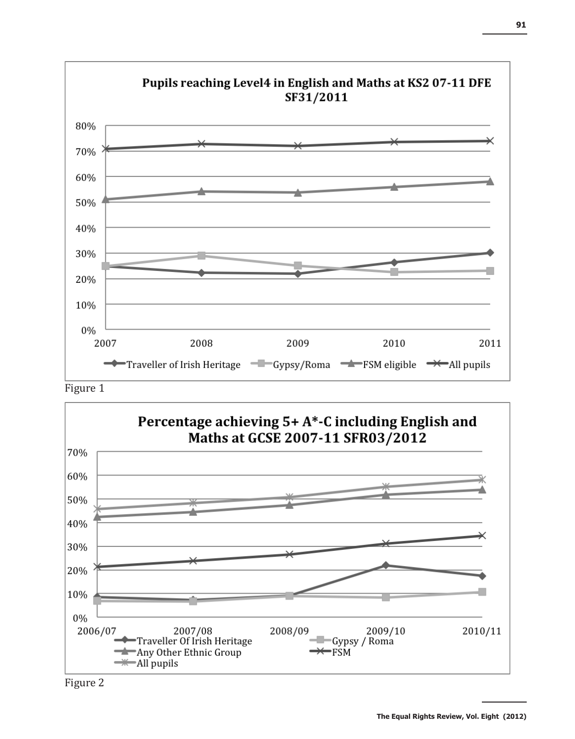







**The Equal Rights Review, Vol. Eight (2012)**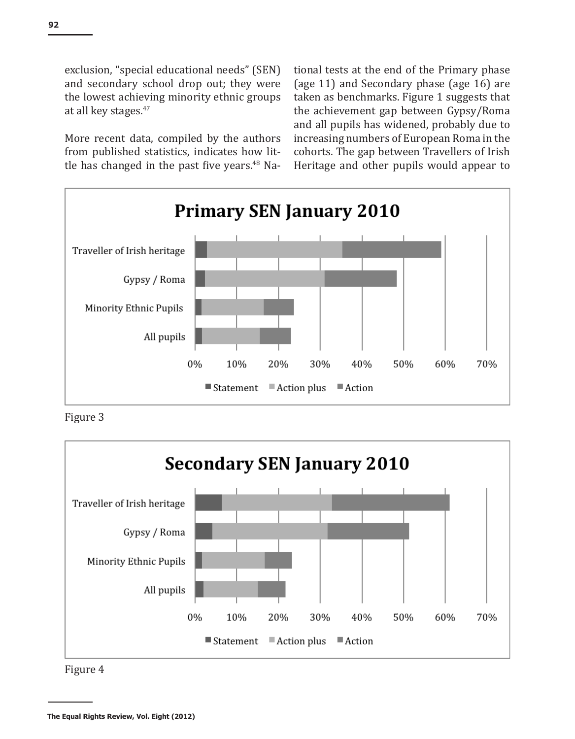exclusion, "special educational needs" (SEN) and secondary school drop out; they were the lowest achieving minority ethnic groups at all key stages.<sup>47</sup>

More recent data, compiled by the authors from published statistics, indicates how little has changed in the past five years.<sup>48</sup> National tests at the end of the Primary phase (age 11) and Secondary phase (age 16) are taken as benchmarks. Figure 1 suggests that the achievement gap between Gypsy/Roma and all pupils has widened, probably due to increasing numbers of European Roma in the cohorts. The gap between Travellers of Irish Heritage and other pupils would appear to



Figure 3



Figure 4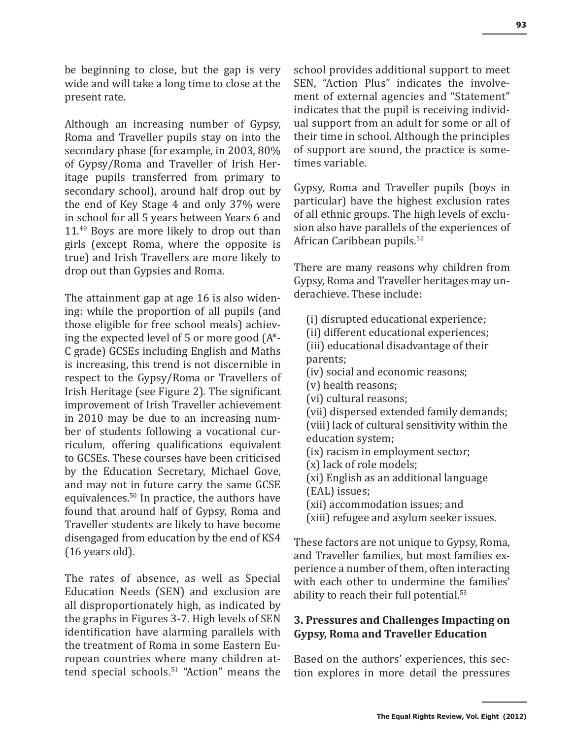be beginning to close, but the gap is very wide and will take a long time to close at the present rate.

Although an increasing number of Gypsy, Roma and Traveller pupils stay on into the secondary phase (for example, in 2003, 80% of Gypsy/Roma and Traveller of Irish Heritage pupils transferred from primary to secondary school), around half drop out by the end of Key Stage 4 and only 37% were in school for all 5 years between Years 6 and 11.<sup>49</sup> Boys are more likely to drop out than girls (except Roma, where the opposite is true) and Irish Travellers are more likely to drop out than Gypsies and Roma.

The attainment gap at age 16 is also widening: while the proportion of all pupils (and those eligible for free school meals) achieving the expected level of 5 or more good (A\*- C grade) GCSEs including English and Maths is increasing, this trend is not discernible in respect to the Gypsy/Roma or Travellers of Irish Heritage (see Figure 2). The significant improvement of Irish Traveller achievement in 2010 may be due to an increasing number of students following a vocational curriculum, offering qualifications equivalent to GCSEs. These courses have been criticised by the Education Secretary, Michael Gove, and may not in future carry the same GCSE equivalences.50 In practice, the authors have found that around half of Gypsy, Roma and Traveller students are likely to have become disengaged from education by the end of KS4 (16 years old).

The rates of absence, as well as Special Education Needs (SEN) and exclusion are all disproportionately high, as indicated by the graphs in Figures 3-7. High levels of SEN identification have alarming parallels with the treatment of Roma in some Eastern European countries where many children attend special schools.<sup>51</sup> "Action" means the

school provides additional support to meet SEN, "Action Plus" indicates the involvement of external agencies and "Statement" indicates that the pupil is receiving individual support from an adult for some or all of their time in school. Although the principles of support are sound, the practice is sometimes variable.

Gypsy, Roma and Traveller pupils (boys in particular) have the highest exclusion rates of all ethnic groups. The high levels of exclusion also have parallels of the experiences of African Caribbean pupils.<sup>52</sup>

There are many reasons why children from Gypsy, Roma and Traveller heritages may underachieve. These include:

- (i) disrupted educational experience;
- (ii) different educational experiences;
- (iii) educational disadvantage of their parents;
- (iv) social and economic reasons;
- (v) health reasons;
- (vi) cultural reasons;
- (vii) dispersed extended family demands; (viii) lack of cultural sensitivity within the education system;
- (ix) racism in employment sector;
- (x) lack of role models;
- (xi) English as an additional language
- (EAL) issues;
- (xii) accommodation issues; and
- (xiii) refugee and asylum seeker issues.

These factors are not unique to Gypsy, Roma, and Traveller families, but most families experience a number of them, often interacting with each other to undermine the families' ability to reach their full potential.<sup>53</sup>

# **3. Pressures and Challenges Impacting on Gypsy, Roma and Traveller Education**

Based on the authors' experiences, this section explores in more detail the pressures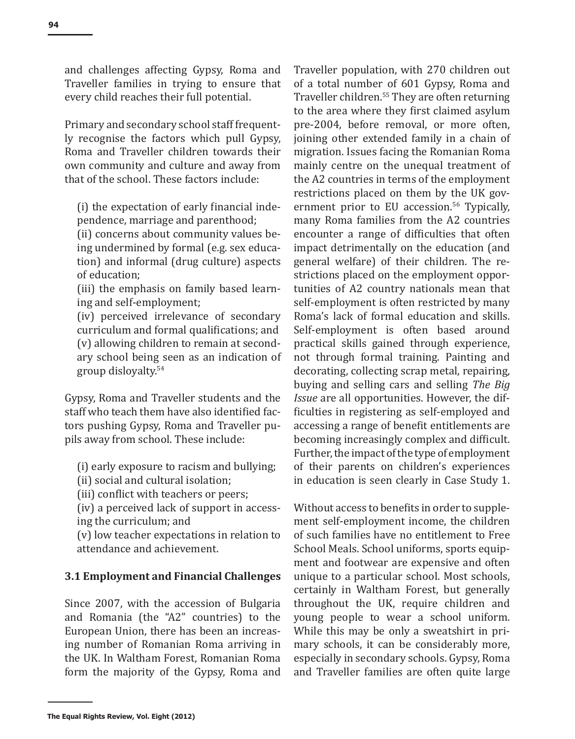and challenges affecting Gypsy, Roma and Traveller families in trying to ensure that every child reaches their full potential.

Primary and secondary school staff frequently recognise the factors which pull Gypsy, Roma and Traveller children towards their own community and culture and away from that of the school. These factors include:

(i) the expectation of early financial independence, marriage and parenthood;

(ii) concerns about community values being undermined by formal (e.g. sex education) and informal (drug culture) aspects of education;

(iii) the emphasis on family based learning and self-employment;

(iv) perceived irrelevance of secondary curriculum and formal qualifications; and (v) allowing children to remain at secondary school being seen as an indication of group disloyalty.<sup>54</sup>

Gypsy, Roma and Traveller students and the staff who teach them have also identified factors pushing Gypsy, Roma and Traveller pupils away from school. These include:

- (i) early exposure to racism and bullying;
- (ii) social and cultural isolation;
- (iii) conflict with teachers or peers;

(iv) a perceived lack of support in accessing the curriculum; and

(v) low teacher expectations in relation to attendance and achievement.

#### **3.1 Employment and Financial Challenges**

Since 2007, with the accession of Bulgaria and Romania (the "A2" countries) to the European Union, there has been an increasing number of Romanian Roma arriving in the UK. In Waltham Forest, Romanian Roma form the majority of the Gypsy, Roma and Traveller population, with 270 children out of a total number of 601 Gypsy, Roma and Traveller children.55 They are often returning to the area where they first claimed asylum pre-2004, before removal, or more often, joining other extended family in a chain of migration. Issues facing the Romanian Roma mainly centre on the unequal treatment of the A2 countries in terms of the employment restrictions placed on them by the UK government prior to EU accession.<sup>56</sup> Typically, many Roma families from the A2 countries encounter a range of difficulties that often impact detrimentally on the education (and general welfare) of their children. The restrictions placed on the employment opportunities of A2 country nationals mean that self-employment is often restricted by many Roma's lack of formal education and skills. Self-employment is often based around practical skills gained through experience, not through formal training. Painting and decorating, collecting scrap metal, repairing, buying and selling cars and selling *The Big Issue* are all opportunities. However, the difficulties in registering as self-employed and accessing a range of benefit entitlements are becoming increasingly complex and difficult. Further, the impact of the type of employment of their parents on children's experiences in education is seen clearly in Case Study 1.

Without access to benefits in order to supplement self-employment income, the children of such families have no entitlement to Free School Meals. School uniforms, sports equipment and footwear are expensive and often unique to a particular school. Most schools, certainly in Waltham Forest, but generally throughout the UK, require children and young people to wear a school uniform. While this may be only a sweatshirt in primary schools, it can be considerably more, especially in secondary schools. Gypsy, Roma and Traveller families are often quite large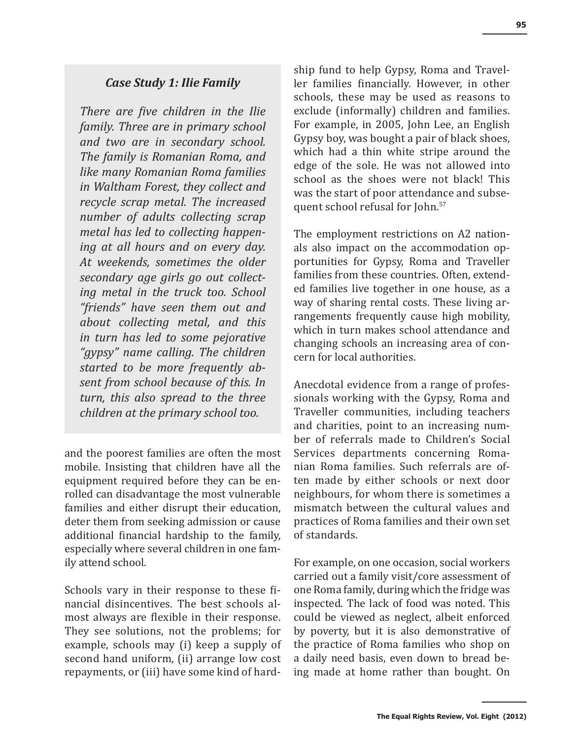# *Case Study 1: Ilie Family*

*There are five children in the Ilie family. Three are in primary school and two are in secondary school. The family is Romanian Roma, and like many Romanian Roma families in Waltham Forest, they collect and recycle scrap metal. The increased number of adults collecting scrap metal has led to collecting happening at all hours and on every day. At weekends, sometimes the older secondary age girls go out collecting metal in the truck too. School "friends" have seen them out and about collecting metal, and this in turn has led to some pejorative "gypsy" name calling. The children started to be more frequently absent from school because of this. In turn, this also spread to the three children at the primary school too.*

and the poorest families are often the most mobile. Insisting that children have all the equipment required before they can be enrolled can disadvantage the most vulnerable families and either disrupt their education, deter them from seeking admission or cause additional financial hardship to the family, especially where several children in one family attend school.

Schools vary in their response to these financial disincentives. The best schools almost always are flexible in their response. They see solutions, not the problems; for example, schools may (i) keep a supply of second hand uniform, (ii) arrange low cost repayments, or (iii) have some kind of hardship fund to help Gypsy, Roma and Traveller families financially. However, in other schools, these may be used as reasons to exclude (informally) children and families. For example, in 2005, John Lee, an English Gypsy boy, was bought a pair of black shoes, which had a thin white stripe around the edge of the sole. He was not allowed into school as the shoes were not black! This was the start of poor attendance and subsequent school refusal for John.<sup>57</sup>

The employment restrictions on A2 nationals also impact on the accommodation opportunities for Gypsy, Roma and Traveller families from these countries. Often, extended families live together in one house, as a way of sharing rental costs. These living arrangements frequently cause high mobility, which in turn makes school attendance and changing schools an increasing area of concern for local authorities.

Anecdotal evidence from a range of professionals working with the Gypsy, Roma and Traveller communities, including teachers and charities, point to an increasing number of referrals made to Children's Social Services departments concerning Romanian Roma families. Such referrals are often made by either schools or next door neighbours, for whom there is sometimes a mismatch between the cultural values and practices of Roma families and their own set of standards.

For example, on one occasion, social workers carried out a family visit/core assessment of one Roma family, during which the fridge was inspected. The lack of food was noted. This could be viewed as neglect, albeit enforced by poverty, but it is also demonstrative of the practice of Roma families who shop on a daily need basis, even down to bread being made at home rather than bought. On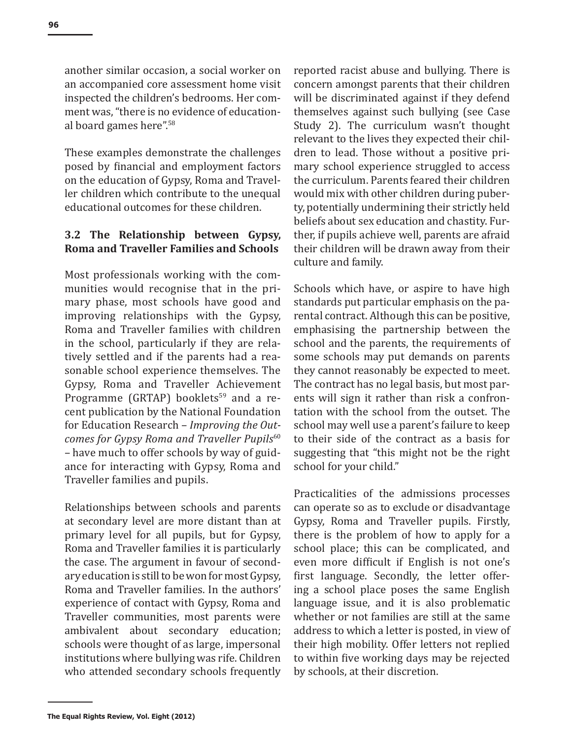another similar occasion, a social worker on an accompanied core assessment home visit inspected the children's bedrooms. Her comment was, "there is no evidence of educational board games here".<sup>58</sup>

These examples demonstrate the challenges posed by financial and employment factors on the education of Gypsy, Roma and Traveller children which contribute to the unequal educational outcomes for these children.

# **3.2 The Relationship between Gypsy, Roma and Traveller Families and Schools**

Most professionals working with the communities would recognise that in the primary phase, most schools have good and improving relationships with the Gypsy, Roma and Traveller families with children in the school, particularly if they are relatively settled and if the parents had a reasonable school experience themselves. The Gypsy, Roma and Traveller Achievement Programme (GRTAP) booklets<sup>59</sup> and a recent publication by the National Foundation for Education Research – *Improving the Outcomes for Gypsy Roma and Traveller Pupils*<sup>60</sup> – have much to offer schools by way of guidance for interacting with Gypsy, Roma and Traveller families and pupils.

Relationships between schools and parents at secondary level are more distant than at primary level for all pupils, but for Gypsy, Roma and Traveller families it is particularly the case. The argument in favour of secondary education is still to be won for most Gypsy, Roma and Traveller families. In the authors' experience of contact with Gypsy, Roma and Traveller communities, most parents were ambivalent about secondary education; schools were thought of as large, impersonal institutions where bullying was rife. Children who attended secondary schools frequently reported racist abuse and bullying. There is concern amongst parents that their children will be discriminated against if they defend themselves against such bullying (see Case Study 2). The curriculum wasn't thought relevant to the lives they expected their children to lead. Those without a positive primary school experience struggled to access the curriculum. Parents feared their children would mix with other children during puberty, potentially undermining their strictly held beliefs about sex education and chastity. Further, if pupils achieve well, parents are afraid their children will be drawn away from their culture and family.

Schools which have, or aspire to have high standards put particular emphasis on the parental contract. Although this can be positive, emphasising the partnership between the school and the parents, the requirements of some schools may put demands on parents they cannot reasonably be expected to meet. The contract has no legal basis, but most parents will sign it rather than risk a confrontation with the school from the outset. The school may well use a parent's failure to keep to their side of the contract as a basis for suggesting that "this might not be the right school for your child."

Practicalities of the admissions processes can operate so as to exclude or disadvantage Gypsy, Roma and Traveller pupils. Firstly, there is the problem of how to apply for a school place; this can be complicated, and even more difficult if English is not one's first language. Secondly, the letter offering a school place poses the same English language issue, and it is also problematic whether or not families are still at the same address to which a letter is posted, in view of their high mobility. Offer letters not replied to within five working days may be rejected by schools, at their discretion.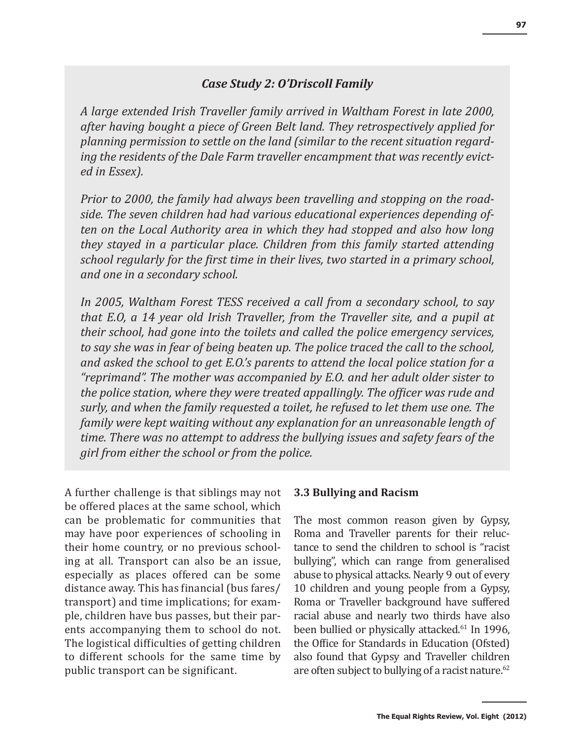# *Case Study 2: O'Driscoll Family*

*A large extended Irish Traveller family arrived in Waltham Forest in late 2000, after having bought a piece of Green Belt land. They retrospectively applied for planning permission to settle on the land (similar to the recent situation regarding the residents of the Dale Farm traveller encampment that was recently evicted in Essex).*

*Prior to 2000, the family had always been travelling and stopping on the roadside. The seven children had had various educational experiences depending often on the Local Authority area in which they had stopped and also how long they stayed in a particular place. Children from this family started attending school regularly for the first time in their lives, two started in a primary school, and one in a secondary school.*

*In 2005, Waltham Forest TESS received a call from a secondary school, to say that E.O, a 14 year old Irish Traveller, from the Traveller site, and a pupil at their school, had gone into the toilets and called the police emergency services, to say she was in fear of being beaten up. The police traced the call to the school, and asked the school to get E.O.'s parents to attend the local police station for a "reprimand". The mother was accompanied by E.O. and her adult older sister to the police station, where they were treated appallingly. The officer was rude and surly, and when the family requested a toilet, he refused to let them use one. The family were kept waiting without any explanation for an unreasonable length of time. There was no attempt to address the bullying issues and safety fears of the girl from either the school or from the police.* 

A further challenge is that siblings may not be offered places at the same school, which can be problematic for communities that may have poor experiences of schooling in their home country, or no previous schooling at all. Transport can also be an issue, especially as places offered can be some distance away. This has financial (bus fares/ transport) and time implications; for example, children have bus passes, but their parents accompanying them to school do not. The logistical difficulties of getting children to different schools for the same time by public transport can be significant.

#### **3.3 Bullying and Racism**

The most common reason given by Gypsy, Roma and Traveller parents for their reluctance to send the children to school is "racist bullying", which can range from generalised abuse to physical attacks. Nearly 9 out of every 10 children and young people from a Gypsy, Roma or Traveller background have suffered racial abuse and nearly two thirds have also been bullied or physically attacked.<sup>61</sup> In 1996, the Office for Standards in Education (Ofsted) also found that Gypsy and Traveller children are often subject to bullying of a racist nature.<sup>62</sup>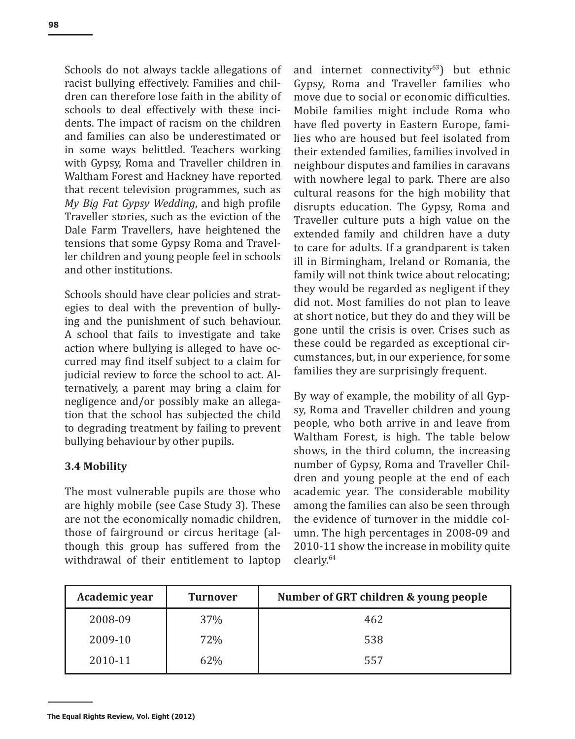Schools do not always tackle allegations of racist bullying effectively. Families and children can therefore lose faith in the ability of schools to deal effectively with these incidents. The impact of racism on the children and families can also be underestimated or in some ways belittled. Teachers working with Gypsy, Roma and Traveller children in Waltham Forest and Hackney have reported that recent television programmes, such as *My Big Fat Gypsy Wedding*, and high profile Traveller stories, such as the eviction of the Dale Farm Travellers, have heightened the tensions that some Gypsy Roma and Traveller children and young people feel in schools and other institutions.

Schools should have clear policies and strategies to deal with the prevention of bullying and the punishment of such behaviour. A school that fails to investigate and take action where bullying is alleged to have occurred may find itself subject to a claim for judicial review to force the school to act. Alternatively, a parent may bring a claim for negligence and/or possibly make an allegation that the school has subjected the child to degrading treatment by failing to prevent bullying behaviour by other pupils.

# **3.4 Mobility**

The most vulnerable pupils are those who are highly mobile (see Case Study 3). These are not the economically nomadic children, those of fairground or circus heritage (although this group has suffered from the withdrawal of their entitlement to laptop and internet connectivity $63$ ) but ethnic Gypsy, Roma and Traveller families who move due to social or economic difficulties. Mobile families might include Roma who have fled poverty in Eastern Europe, families who are housed but feel isolated from their extended families, families involved in neighbour disputes and families in caravans with nowhere legal to park. There are also cultural reasons for the high mobility that disrupts education. The Gypsy, Roma and Traveller culture puts a high value on the extended family and children have a duty to care for adults. If a grandparent is taken ill in Birmingham, Ireland or Romania, the family will not think twice about relocating; they would be regarded as negligent if they did not. Most families do not plan to leave at short notice, but they do and they will be gone until the crisis is over. Crises such as these could be regarded as exceptional circumstances, but, in our experience, for some families they are surprisingly frequent.

By way of example, the mobility of all Gypsy, Roma and Traveller children and young people, who both arrive in and leave from Waltham Forest, is high. The table below shows, in the third column, the increasing number of Gypsy, Roma and Traveller Children and young people at the end of each academic year. The considerable mobility among the families can also be seen through the evidence of turnover in the middle column. The high percentages in 2008-09 and 2010-11 show the increase in mobility quite clearly.<sup>64</sup>

| Academic year | <b>Turnover</b> | Number of GRT children & young people |
|---------------|-----------------|---------------------------------------|
| 2008-09       | 37%             | 462                                   |
| 2009-10       | 72%             | 538                                   |
| 2010-11       | 62%             | 557                                   |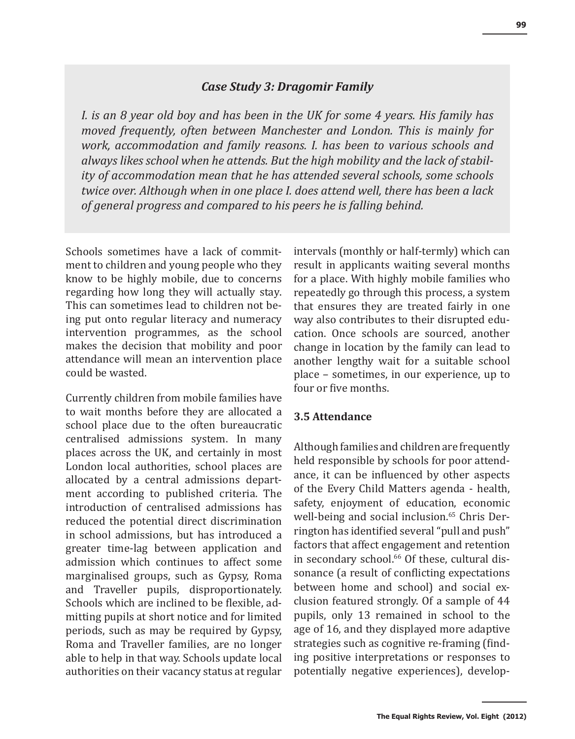#### *Case Study 3: Dragomir Family*

*I. is an 8 year old boy and has been in the UK for some 4 years. His family has moved frequently, often between Manchester and London. This is mainly for work, accommodation and family reasons. I. has been to various schools and always likes school when he attends. But the high mobility and the lack of stability of accommodation mean that he has attended several schools, some schools twice over. Although when in one place I. does attend well, there has been a lack of general progress and compared to his peers he is falling behind.*

Schools sometimes have a lack of commitment to children and young people who they know to be highly mobile, due to concerns regarding how long they will actually stay. This can sometimes lead to children not being put onto regular literacy and numeracy intervention programmes, as the school makes the decision that mobility and poor attendance will mean an intervention place could be wasted.

Currently children from mobile families have to wait months before they are allocated a school place due to the often bureaucratic centralised admissions system. In many places across the UK, and certainly in most London local authorities, school places are allocated by a central admissions department according to published criteria. The introduction of centralised admissions has reduced the potential direct discrimination in school admissions, but has introduced a greater time-lag between application and admission which continues to affect some marginalised groups, such as Gypsy, Roma and Traveller pupils, disproportionately. Schools which are inclined to be flexible, admitting pupils at short notice and for limited periods, such as may be required by Gypsy, Roma and Traveller families, are no longer able to help in that way. Schools update local authorities on their vacancy status at regular

intervals (monthly or half-termly) which can result in applicants waiting several months for a place. With highly mobile families who repeatedly go through this process, a system that ensures they are treated fairly in one way also contributes to their disrupted education. Once schools are sourced, another change in location by the family can lead to another lengthy wait for a suitable school place – sometimes, in our experience, up to four or five months.

#### **3.5 Attendance**

Although families and children are frequently held responsible by schools for poor attendance, it can be influenced by other aspects of the Every Child Matters agenda - health, safety, enjoyment of education, economic well-being and social inclusion.<sup>65</sup> Chris Derrington has identified several "pull and push" factors that affect engagement and retention in secondary school.<sup>66</sup> Of these, cultural dissonance (a result of conflicting expectations between home and school) and social exclusion featured strongly. Of a sample of 44 pupils, only 13 remained in school to the age of 16, and they displayed more adaptive strategies such as cognitive re-framing (finding positive interpretations or responses to potentially negative experiences), develop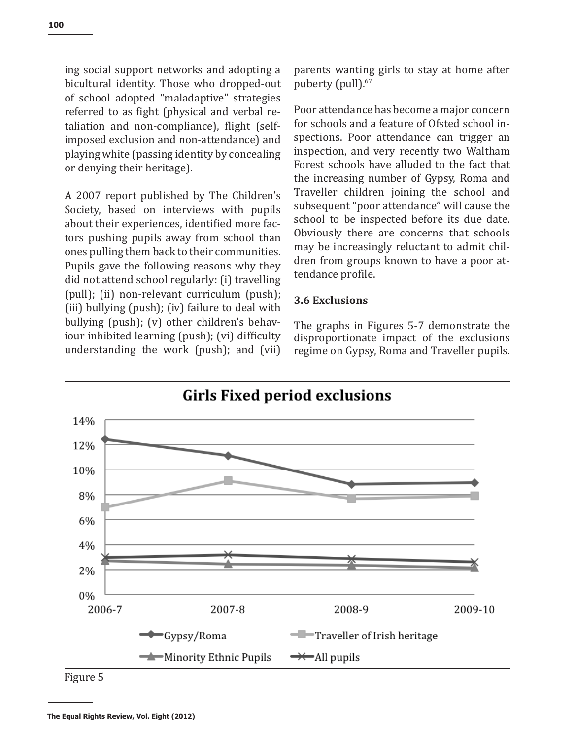ing social support networks and adopting a bicultural identity. Those who dropped-out of school adopted "maladaptive" strategies referred to as fight (physical and verbal retaliation and non-compliance), flight (selfimposed exclusion and non-attendance) and playing white (passing identity by concealing or denying their heritage).

A 2007 report published by The Children's Society, based on interviews with pupils about their experiences, identified more factors pushing pupils away from school than ones pulling them back to their communities. Pupils gave the following reasons why they did not attend school regularly: (i) travelling (pull); (ii) non-relevant curriculum (push); (iii) bullying (push); (iv) failure to deal with bullying (push); (v) other children's behaviour inhibited learning (push); (vi) difficulty understanding the work (push); and (vii) parents wanting girls to stay at home after puberty (pull).<sup>67</sup>

Poor attendance has become a major concern for schools and a feature of Ofsted school inspections. Poor attendance can trigger an inspection, and very recently two Waltham Forest schools have alluded to the fact that the increasing number of Gypsy, Roma and Traveller children joining the school and subsequent "poor attendance" will cause the school to be inspected before its due date. Obviously there are concerns that schools may be increasingly reluctant to admit children from groups known to have a poor attendance profile.

# **3.6 Exclusions**

The graphs in Figures 5-7 demonstrate the disproportionate impact of the exclusions regime on Gypsy, Roma and Traveller pupils.



Figure 5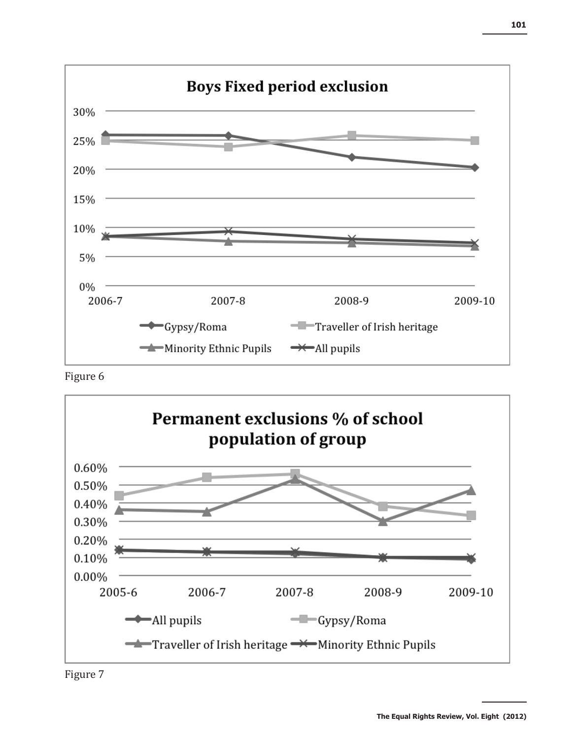

Figure 6



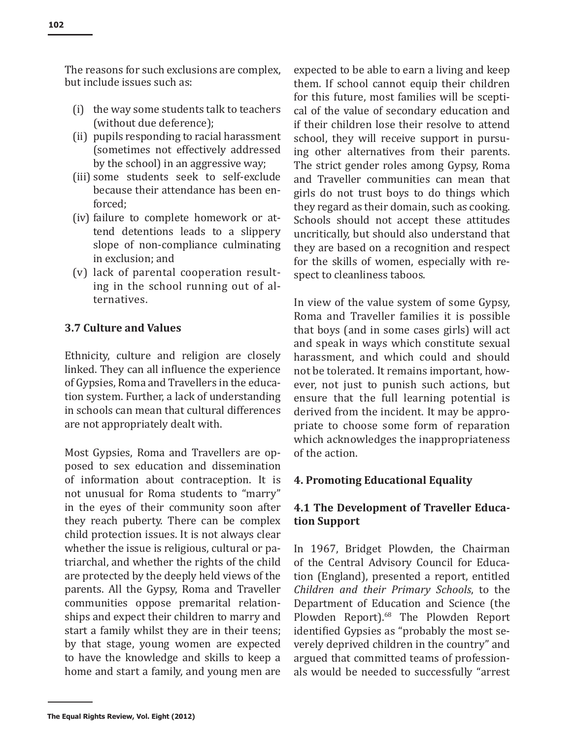The reasons for such exclusions are complex, but include issues such as:

- (i) the way some students talk to teachers (without due deference);
- (ii) pupils responding to racial harassment (sometimes not effectively addressed by the school) in an aggressive way;
- (iii) some students seek to self-exclude because their attendance has been enforced;
- (iv) failure to complete homework or attend detentions leads to a slippery slope of non-compliance culminating in exclusion; and
- (v) lack of parental cooperation resulting in the school running out of alternatives.

# **3.7 Culture and Values**

Ethnicity, culture and religion are closely linked. They can all influence the experience of Gypsies, Roma and Travellers in the education system. Further, a lack of understanding in schools can mean that cultural differences are not appropriately dealt with.

Most Gypsies, Roma and Travellers are opposed to sex education and dissemination of information about contraception. It is not unusual for Roma students to "marry" in the eyes of their community soon after they reach puberty. There can be complex child protection issues. It is not always clear whether the issue is religious, cultural or patriarchal, and whether the rights of the child are protected by the deeply held views of the parents. All the Gypsy, Roma and Traveller communities oppose premarital relationships and expect their children to marry and start a family whilst they are in their teens; by that stage, young women are expected to have the knowledge and skills to keep a home and start a family, and young men are expected to be able to earn a living and keep them. If school cannot equip their children for this future, most families will be sceptical of the value of secondary education and if their children lose their resolve to attend school, they will receive support in pursuing other alternatives from their parents. The strict gender roles among Gypsy, Roma and Traveller communities can mean that girls do not trust boys to do things which they regard as their domain, such as cooking. Schools should not accept these attitudes uncritically, but should also understand that they are based on a recognition and respect for the skills of women, especially with respect to cleanliness taboos.

In view of the value system of some Gypsy, Roma and Traveller families it is possible that boys (and in some cases girls) will act and speak in ways which constitute sexual harassment, and which could and should not be tolerated. It remains important, however, not just to punish such actions, but ensure that the full learning potential is derived from the incident. It may be appropriate to choose some form of reparation which acknowledges the inappropriateness of the action.

#### **4. Promoting Educational Equality**

# **4.1 The Development of Traveller Education Support**

In 1967, Bridget Plowden, the Chairman of the Central Advisory Council for Education (England), presented a report, entitled *Children and their Primary Schools*, to the Department of Education and Science (the Plowden Report).68 The Plowden Report identified Gypsies as "probably the most severely deprived children in the country" and argued that committed teams of professionals would be needed to successfully "arrest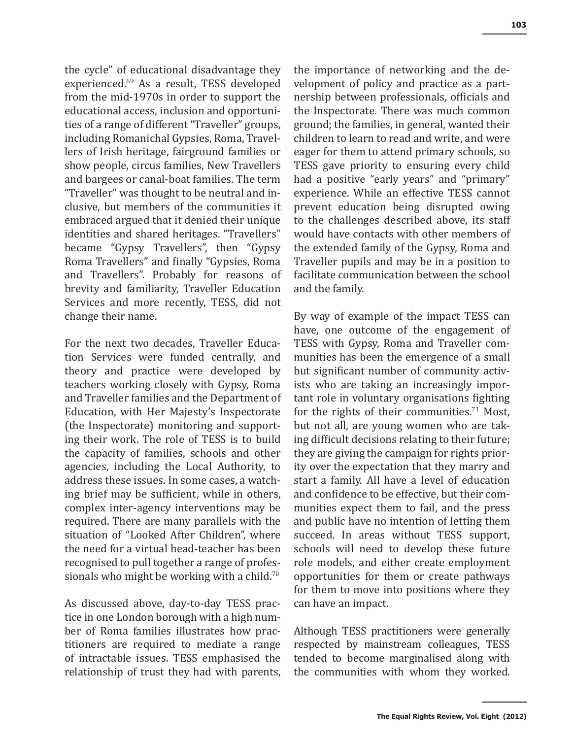the cycle" of educational disadvantage they experienced.69 As a result, TESS developed from the mid-1970s in order to support the educational access, inclusion and opportunities of a range of different "Traveller" groups, including Romanichal Gypsies, Roma, Travellers of Irish heritage, fairground families or show people, circus families, New Travellers and bargees or canal-boat families. The term "Traveller" was thought to be neutral and inclusive, but members of the communities it embraced argued that it denied their unique identities and shared heritages. "Travellers" became "Gypsy Travellers", then "Gypsy Roma Travellers" and finally "Gypsies, Roma and Travellers". Probably for reasons of brevity and familiarity, Traveller Education Services and more recently, TESS, did not change their name.

For the next two decades, Traveller Education Services were funded centrally, and theory and practice were developed by teachers working closely with Gypsy, Roma and Traveller families and the Department of Education, with Her Majesty's Inspectorate (the Inspectorate) monitoring and supporting their work. The role of TESS is to build the capacity of families, schools and other agencies, including the Local Authority, to address these issues. In some cases, a watching brief may be sufficient, while in others, complex inter-agency interventions may be required. There are many parallels with the situation of "Looked After Children", where the need for a virtual head-teacher has been recognised to pull together a range of professionals who might be working with a child.<sup>70</sup>

As discussed above, day-to-day TESS practice in one London borough with a high number of Roma families illustrates how practitioners are required to mediate a range of intractable issues. TESS emphasised the relationship of trust they had with parents, the importance of networking and the development of policy and practice as a partnership between professionals, officials and the Inspectorate. There was much common ground; the families, in general, wanted their children to learn to read and write, and were eager for them to attend primary schools, so TESS gave priority to ensuring every child had a positive "early years" and "primary" experience. While an effective TESS cannot prevent education being disrupted owing to the challenges described above, its staff would have contacts with other members of the extended family of the Gypsy, Roma and Traveller pupils and may be in a position to facilitate communication between the school and the family.

By way of example of the impact TESS can have, one outcome of the engagement of TESS with Gypsy, Roma and Traveller communities has been the emergence of a small but significant number of community activists who are taking an increasingly important role in voluntary organisations fighting for the rights of their communities.<sup>71</sup> Most, but not all, are young women who are taking difficult decisions relating to their future; they are giving the campaign for rights priority over the expectation that they marry and start a family. All have a level of education and confidence to be effective, but their communities expect them to fail, and the press and public have no intention of letting them succeed. In areas without TESS support, schools will need to develop these future role models, and either create employment opportunities for them or create pathways for them to move into positions where they can have an impact.

Although TESS practitioners were generally respected by mainstream colleagues, TESS tended to become marginalised along with the communities with whom they worked.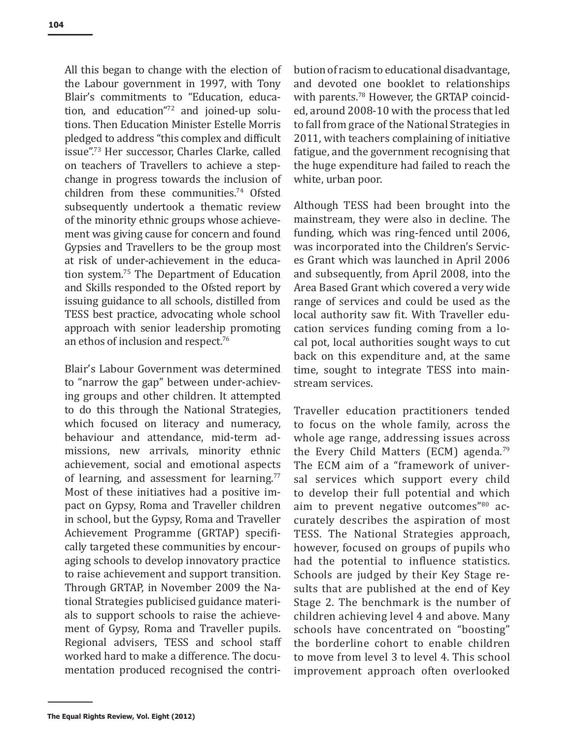All this began to change with the election of the Labour government in 1997, with Tony Blair's commitments to "Education, education, and education"72 and joined-up solutions. Then Education Minister Estelle Morris pledged to address "this complex and difficult issue".73 Her successor, Charles Clarke, called on teachers of Travellers to achieve a stepchange in progress towards the inclusion of children from these communities.74 Ofsted subsequently undertook a thematic review of the minority ethnic groups whose achievement was giving cause for concern and found Gypsies and Travellers to be the group most at risk of under-achievement in the education system.75 The Department of Education and Skills responded to the Ofsted report by issuing guidance to all schools, distilled from TESS best practice, advocating whole school approach with senior leadership promoting an ethos of inclusion and respect.<sup>76</sup>

Blair's Labour Government was determined to "narrow the gap" between under-achieving groups and other children. It attempted to do this through the National Strategies, which focused on literacy and numeracy, behaviour and attendance, mid-term admissions, new arrivals, minority ethnic achievement, social and emotional aspects of learning, and assessment for learning.<sup>77</sup> Most of these initiatives had a positive impact on Gypsy, Roma and Traveller children in school, but the Gypsy, Roma and Traveller Achievement Programme (GRTAP) specifically targeted these communities by encouraging schools to develop innovatory practice to raise achievement and support transition. Through GRTAP, in November 2009 the National Strategies publicised guidance materials to support schools to raise the achievement of Gypsy, Roma and Traveller pupils. Regional advisers, TESS and school staff worked hard to make a difference. The documentation produced recognised the contribution of racism to educational disadvantage, and devoted one booklet to relationships with parents.<sup>78</sup> However, the GRTAP coincided, around 2008-10 with the process that led to fall from grace of the National Strategies in 2011, with teachers complaining of initiative fatigue, and the government recognising that the huge expenditure had failed to reach the white, urban poor.

Although TESS had been brought into the mainstream, they were also in decline. The funding, which was ring-fenced until 2006, was incorporated into the Children's Services Grant which was launched in April 2006 and subsequently, from April 2008, into the Area Based Grant which covered a very wide range of services and could be used as the local authority saw fit. With Traveller education services funding coming from a local pot, local authorities sought ways to cut back on this expenditure and, at the same time, sought to integrate TESS into mainstream services.

Traveller education practitioners tended to focus on the whole family, across the whole age range, addressing issues across the Every Child Matters (ECM) agenda.<sup>79</sup> The ECM aim of a "framework of universal services which support every child to develop their full potential and which aim to prevent negative outcomes"80 accurately describes the aspiration of most TESS. The National Strategies approach, however, focused on groups of pupils who had the potential to influence statistics. Schools are judged by their Key Stage results that are published at the end of Key Stage 2. The benchmark is the number of children achieving level 4 and above. Many schools have concentrated on "boosting" the borderline cohort to enable children to move from level 3 to level 4. This school improvement approach often overlooked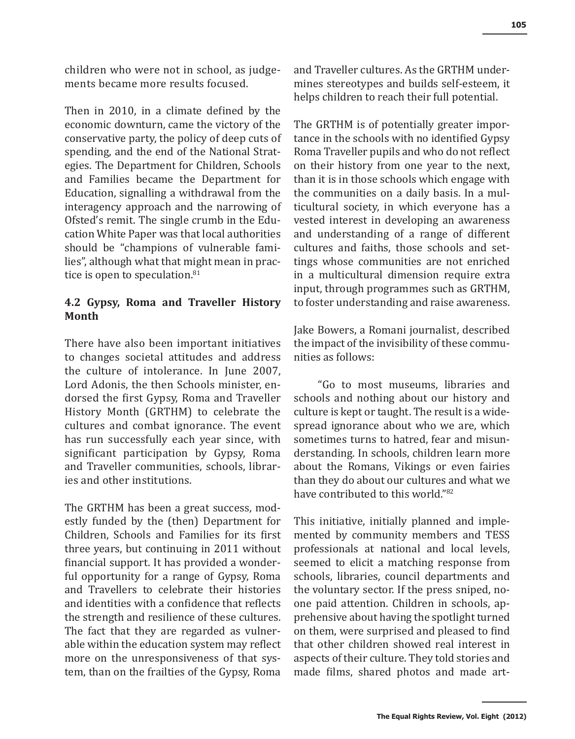children who were not in school, as judgements became more results focused.

Then in 2010, in a climate defined by the economic downturn, came the victory of the conservative party, the policy of deep cuts of spending, and the end of the National Strategies. The Department for Children, Schools and Families became the Department for Education, signalling a withdrawal from the interagency approach and the narrowing of Ofsted's remit. The single crumb in the Education White Paper was that local authorities should be "champions of vulnerable families", although what that might mean in practice is open to speculation.<sup>81</sup>

# **4.2 Gypsy, Roma and Traveller History Month**

There have also been important initiatives to changes societal attitudes and address the culture of intolerance. In June 2007, Lord Adonis, the then Schools minister, endorsed the first Gypsy, Roma and Traveller History Month (GRTHM) to celebrate the cultures and combat ignorance. The event has run successfully each year since, with significant participation by Gypsy, Roma and Traveller communities, schools, libraries and other institutions.

The GRTHM has been a great success, modestly funded by the (then) Department for Children, Schools and Families for its first three years, but continuing in 2011 without financial support. It has provided a wonderful opportunity for a range of Gypsy, Roma and Travellers to celebrate their histories and identities with a confidence that reflects the strength and resilience of these cultures. The fact that they are regarded as vulnerable within the education system may reflect more on the unresponsiveness of that system, than on the frailties of the Gypsy, Roma and Traveller cultures. As the GRTHM undermines stereotypes and builds self-esteem, it helps children to reach their full potential.

The GRTHM is of potentially greater importance in the schools with no identified Gypsy Roma Traveller pupils and who do not reflect on their history from one year to the next, than it is in those schools which engage with the communities on a daily basis. In a multicultural society, in which everyone has a vested interest in developing an awareness and understanding of a range of different cultures and faiths, those schools and settings whose communities are not enriched in a multicultural dimension require extra input, through programmes such as GRTHM, to foster understanding and raise awareness.

Jake Bowers, a Romani journalist, described the impact of the invisibility of these communities as follows:

"Go to most museums, libraries and schools and nothing about our history and culture is kept or taught. The result is a widespread ignorance about who we are, which sometimes turns to hatred, fear and misunderstanding. In schools, children learn more about the Romans, Vikings or even fairies than they do about our cultures and what we have contributed to this world."<sup>82</sup>

This initiative, initially planned and implemented by community members and TESS professionals at national and local levels, seemed to elicit a matching response from schools, libraries, council departments and the voluntary sector. If the press sniped, noone paid attention. Children in schools, apprehensive about having the spotlight turned on them, were surprised and pleased to find that other children showed real interest in aspects of their culture. They told stories and made films, shared photos and made art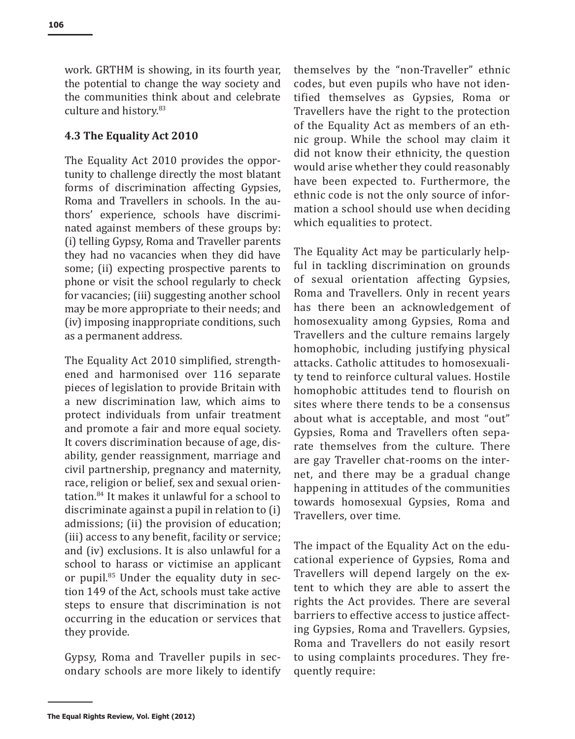work. GRTHM is showing, in its fourth year, the potential to change the way society and the communities think about and celebrate culture and history.<sup>83</sup>

# **4.3 The Equality Act 2010**

The Equality Act 2010 provides the opportunity to challenge directly the most blatant forms of discrimination affecting Gypsies, Roma and Travellers in schools. In the authors' experience, schools have discriminated against members of these groups by: (i) telling Gypsy, Roma and Traveller parents they had no vacancies when they did have some; (ii) expecting prospective parents to phone or visit the school regularly to check for vacancies; (iii) suggesting another school may be more appropriate to their needs; and (iv) imposing inappropriate conditions, such as a permanent address.

The Equality Act 2010 simplified, strengthened and harmonised over 116 separate pieces of legislation to provide Britain with a new discrimination law, which aims to protect individuals from unfair treatment and promote a fair and more equal society. It covers discrimination because of age, disability, gender reassignment, marriage and civil partnership, pregnancy and maternity, race, religion or belief, sex and sexual orientation.84 It makes it unlawful for a school to discriminate against a pupil in relation to (i) admissions; (ii) the provision of education; (iii) access to any benefit, facility or service; and (iv) exclusions. It is also unlawful for a school to harass or victimise an applicant or pupil.<sup>85</sup> Under the equality duty in section 149 of the Act, schools must take active steps to ensure that discrimination is not occurring in the education or services that they provide.

Gypsy, Roma and Traveller pupils in secondary schools are more likely to identify themselves by the "non-Traveller" ethnic codes, but even pupils who have not identified themselves as Gypsies, Roma or Travellers have the right to the protection of the Equality Act as members of an ethnic group. While the school may claim it did not know their ethnicity, the question would arise whether they could reasonably have been expected to. Furthermore, the ethnic code is not the only source of information a school should use when deciding which equalities to protect.

The Equality Act may be particularly helpful in tackling discrimination on grounds of sexual orientation affecting Gypsies, Roma and Travellers. Only in recent years has there been an acknowledgement of homosexuality among Gypsies, Roma and Travellers and the culture remains largely homophobic, including justifying physical attacks. Catholic attitudes to homosexuality tend to reinforce cultural values. Hostile homophobic attitudes tend to flourish on sites where there tends to be a consensus about what is acceptable, and most "out" Gypsies, Roma and Travellers often separate themselves from the culture. There are gay Traveller chat-rooms on the internet, and there may be a gradual change happening in attitudes of the communities towards homosexual Gypsies, Roma and Travellers, over time.

The impact of the Equality Act on the educational experience of Gypsies, Roma and Travellers will depend largely on the extent to which they are able to assert the rights the Act provides. There are several barriers to effective access to justice affecting Gypsies, Roma and Travellers. Gypsies, Roma and Travellers do not easily resort to using complaints procedures. They frequently require: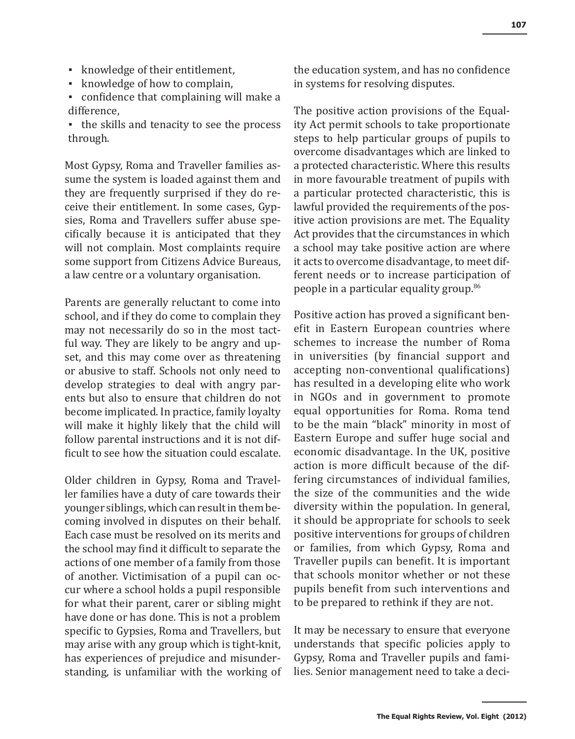- knowledge of their entitlement,
- knowledge of how to complain,
- confidence that complaining will make a difference,
- the skills and tenacity to see the process through.

Most Gypsy, Roma and Traveller families assume the system is loaded against them and they are frequently surprised if they do receive their entitlement. In some cases, Gypsies, Roma and Travellers suffer abuse specifically because it is anticipated that they will not complain. Most complaints require some support from Citizens Advice Bureaus, a law centre or a voluntary organisation.

Parents are generally reluctant to come into school, and if they do come to complain they may not necessarily do so in the most tactful way. They are likely to be angry and upset, and this may come over as threatening or abusive to staff. Schools not only need to develop strategies to deal with angry parents but also to ensure that children do not become implicated. In practice, family loyalty will make it highly likely that the child will follow parental instructions and it is not difficult to see how the situation could escalate.

Older children in Gypsy, Roma and Traveller families have a duty of care towards their younger siblings, which can result in them becoming involved in disputes on their behalf. Each case must be resolved on its merits and the school may find it difficult to separate the actions of one member of a family from those of another. Victimisation of a pupil can occur where a school holds a pupil responsible for what their parent, carer or sibling might have done or has done. This is not a problem specific to Gypsies, Roma and Travellers, but may arise with any group which is tight-knit, has experiences of prejudice and misunderstanding, is unfamiliar with the working of the education system, and has no confidence in systems for resolving disputes.

The positive action provisions of the Equality Act permit schools to take proportionate steps to help particular groups of pupils to overcome disadvantages which are linked to a protected characteristic. Where this results in more favourable treatment of pupils with a particular protected characteristic, this is lawful provided the requirements of the positive action provisions are met. The Equality Act provides that the circumstances in which a school may take positive action are where it acts to overcome disadvantage, to meet different needs or to increase participation of people in a particular equality group.<sup>86</sup>

Positive action has proved a significant benefit in Eastern European countries where schemes to increase the number of Roma in universities (by financial support and accepting non-conventional qualifications) has resulted in a developing elite who work in NGOs and in government to promote equal opportunities for Roma. Roma tend to be the main "black" minority in most of Eastern Europe and suffer huge social and economic disadvantage. In the UK, positive action is more difficult because of the differing circumstances of individual families, the size of the communities and the wide diversity within the population. In general, it should be appropriate for schools to seek positive interventions for groups of children or families, from which Gypsy, Roma and Traveller pupils can benefit. It is important that schools monitor whether or not these pupils benefit from such interventions and to be prepared to rethink if they are not.

It may be necessary to ensure that everyone understands that specific policies apply to Gypsy, Roma and Traveller pupils and families. Senior management need to take a deci-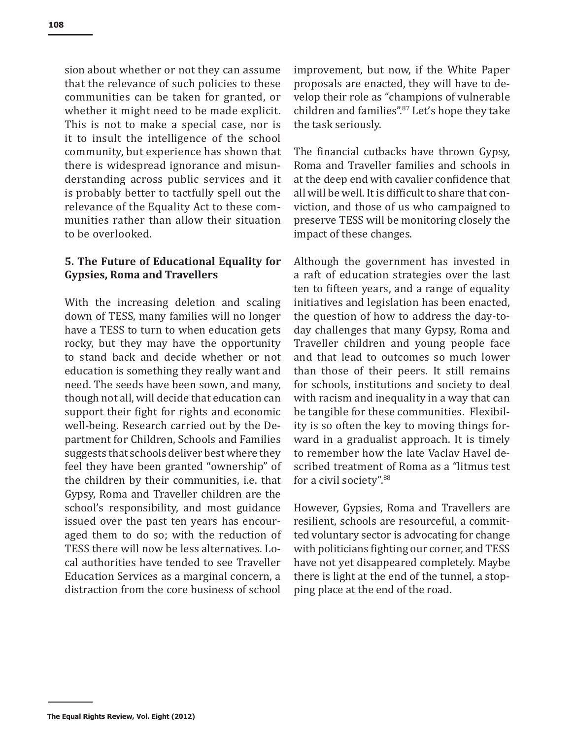sion about whether or not they can assume that the relevance of such policies to these communities can be taken for granted, or whether it might need to be made explicit. This is not to make a special case, nor is it to insult the intelligence of the school community, but experience has shown that there is widespread ignorance and misunderstanding across public services and it is probably better to tactfully spell out the relevance of the Equality Act to these communities rather than allow their situation to be overlooked.

# **5. The Future of Educational Equality for Gypsies, Roma and Travellers**

With the increasing deletion and scaling down of TESS, many families will no longer have a TESS to turn to when education gets rocky, but they may have the opportunity to stand back and decide whether or not education is something they really want and need. The seeds have been sown, and many, though not all, will decide that education can support their fight for rights and economic well-being. Research carried out by the Department for Children, Schools and Families suggests that schools deliver best where they feel they have been granted "ownership" of the children by their communities, i.e. that Gypsy, Roma and Traveller children are the school's responsibility, and most guidance issued over the past ten years has encouraged them to do so; with the reduction of TESS there will now be less alternatives. Local authorities have tended to see Traveller Education Services as a marginal concern, a distraction from the core business of school

improvement, but now, if the White Paper proposals are enacted, they will have to develop their role as "champions of vulnerable children and families".87 Let's hope they take the task seriously.

The financial cutbacks have thrown Gypsy, Roma and Traveller families and schools in at the deep end with cavalier confidence that all will be well. It is difficult to share that conviction, and those of us who campaigned to preserve TESS will be monitoring closely the impact of these changes.

Although the government has invested in a raft of education strategies over the last ten to fifteen years, and a range of equality initiatives and legislation has been enacted, the question of how to address the day-today challenges that many Gypsy, Roma and Traveller children and young people face and that lead to outcomes so much lower than those of their peers. It still remains for schools, institutions and society to deal with racism and inequality in a way that can be tangible for these communities. Flexibility is so often the key to moving things forward in a gradualist approach. It is timely to remember how the late Vaclav Havel described treatment of Roma as a "litmus test for a civil society".<sup>88</sup>

However, Gypsies, Roma and Travellers are resilient, schools are resourceful, a committed voluntary sector is advocating for change with politicians fighting our corner, and TESS have not yet disappeared completely. Maybe there is light at the end of the tunnel, a stopping place at the end of the road.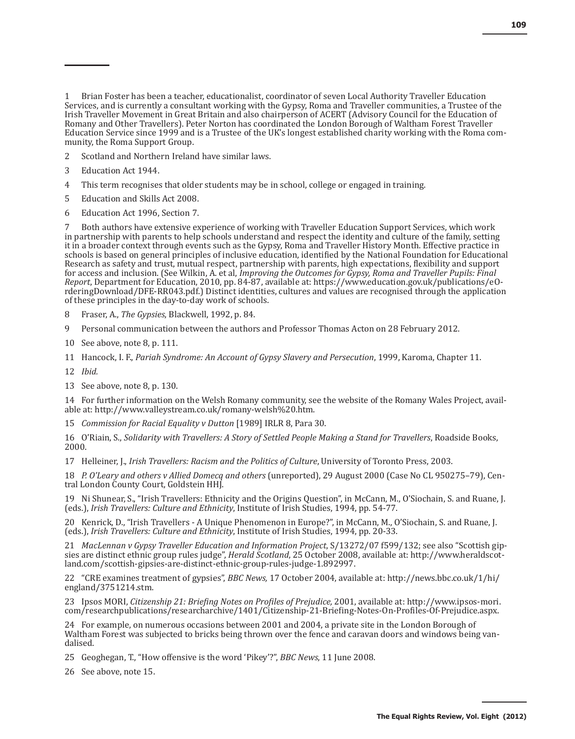1 Brian Foster has been a teacher, educationalist, coordinator of seven Local Authority Traveller Education Services, and is currently a consultant working with the Gypsy, Roma and Traveller communities, a Trustee of the Irish Traveller Movement in Great Britain and also chairperson of ACERT (Advisory Council for the Education of Romany and Other Travellers). Peter Norton has coordinated the London Borough of Waltham Forest Traveller Education Service since 1999 and is a Trustee of the UK's longest established charity working with the Roma community, the Roma Support Group.

- 2 Scotland and Northern Ireland have similar laws.
- 3 Education Act 1944.
- 4 This term recognises that older students may be in school, college or engaged in training.
- 5 Education and Skills Act 2008.
- 6 Education Act 1996, Section 7.

7 Both authors have extensive experience of working with Traveller Education Support Services, which work in partnership with parents to help schools understand and respect the identity and culture of the family, setting it in a broader context through events such as the Gypsy, Roma and Traveller History Month. Effective practice in schools is based on general principles of inclusive education, identified by the National Foundation for Educational Research as safety and trust, mutual respect, partnership with parents, high expectations, flexibility and support for access and inclusion. (See Wilkin, A. et al, *Improving the Outcomes for Gypsy, Roma and Traveller Pupils: Final Report*, Department for Education, 2010, pp. 84-87, available at: https://www.education.gov.uk/publications/eOrderingDownload/DFE-RR043.pdf.) Distinct identities, cultures and values are recognised through the application of these principles in the day-to-day work of schools.

- 8 Fraser, A., *The Gypsies*, Blackwell, 1992, p. 84.
- 9 Personal communication between the authors and Professor Thomas Acton on 28 February 2012.
- 10 See above, note 8, p. 111.
- 11 Hancock, I. F., *Pariah Syndrome: An Account of Gypsy Slavery and Persecution*, 1999, Karoma, Chapter 11.
- 12 *Ibid.*
- 13 See above, note 8, p. 130.

14 For further information on the Welsh Romany community, see the website of the Romany Wales Project, available at: http://www.valleystream.co.uk/romany-welsh%20.htm.

15 *Commission for Racial Equality v Dutton* [1989] IRLR 8, Para 30.

16 O'Riain, S., *Solidarity with Travellers: A Story of Settled People Making a Stand for Travellers*, Roadside Books, 2000.

17 Helleiner, J., *Irish Travellers: Racism and the Politics of Culture*, University of Toronto Press, 2003.

18 *P. O'Leary and others v Allied Domecq and others* (unreported), 29 August 2000 (Case No CL 950275–79), Central London County Court, Goldstein HHJ.

19 Ni Shunear, S., "Irish Travellers: Ethnicity and the Origins Question", in McCann, M., O'Siochain, S. and Ruane, J. (eds.), *Irish Travellers: Culture and Ethnicity*, Institute of Irish Studies, 1994, pp. 54-77.

20 Kenrick, D., "Irish Travellers - A Unique Phenomenon in Europe?", in McCann, M., O'Siochain, S. and Ruane, J. (eds.), *Irish Travellers: Culture and Ethnicity*, Institute of Irish Studies, 1994, pp. 20-33.

21 *MacLennan v Gypsy Traveller Education and Information Project*, S/13272/07 f599/132; see also "Scottish gipsies are distinct ethnic group rules judge", *Herald Scotland*, 25 October 2008, available at: http://www.heraldscotland.com/scottish-gipsies-are-distinct-ethnic-group-rules-judge-1.892997.

22 "CRE examines treatment of gypsies", *BBC News,* 17 October 2004, available at: http://news.bbc.co.uk/1/hi/ england/3751214.stm.

23 Ipsos MORI, *Citizenship 21: Briefing Notes on Profiles of Prejudice,* 2001, available at: http://www.ipsos-mori. com/researchpublications/researcharchive/1401/Citizenship-21-Briefing-Notes-On-Profiles-Of-Prejudice.aspx.

24 For example, on numerous occasions between 2001 and 2004, a private site in the London Borough of Waltham Forest was subjected to bricks being thrown over the fence and caravan doors and windows being vandalised.

25 Geoghegan, T., "How offensive is the word 'Pikey'?", *BBC News*, 11 June 2008.

26 See above, note 15.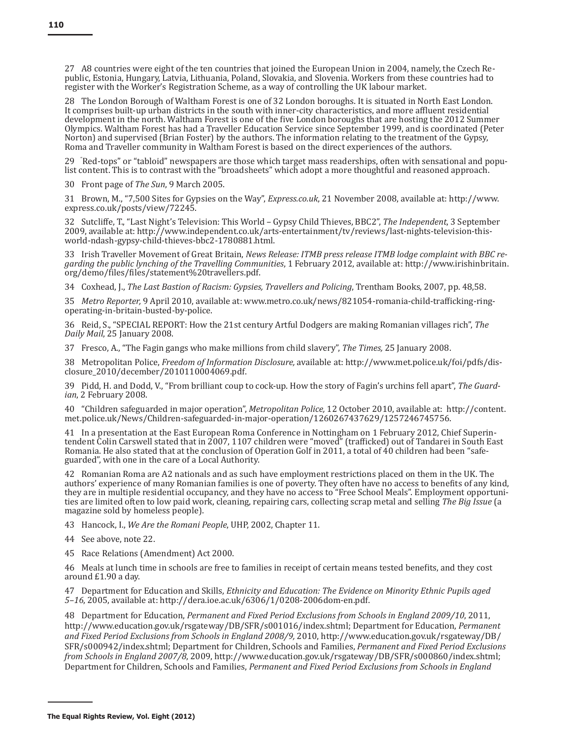27 A8 countries were eight of the ten countries that joined the European Union in 2004, namely, the Czech Republic, Estonia, Hungary, Latvia, Lithuania, Poland, Slovakia, and Slovenia. Workers from these countries had to register with the Worker's Registration Scheme, as a way of controlling the UK labour market.

28 The London Borough of Waltham Forest is one of 32 London boroughs. It is situated in North East London. It comprises built-up urban districts in the south with inner-city characteristics, and more affluent residential development in the north. Waltham Forest is one of the five London boroughs that are hosting the 2012 Summer Olympics. Waltham Forest has had a Traveller Education Service since September 1999, and is coordinated (Peter Norton) and supervised (Brian Foster) by the authors. The information relating to the treatment of the Gypsy, Roma and Traveller community in Waltham Forest is based on the direct experiences of the authors.

29 "Red-tops" or "tabloid" newspapers are those which target mass readerships, often with sensational and populist content. This is to contrast with the "broadsheets" which adopt a more thoughtful and reasoned approach.

30 Front page of *The Sun*, 9 March 2005.

31 Brown, M., "7,500 Sites for Gypsies on the Way", *Express.co.uk*, 21 November 2008, available at: http://www. express.co.uk/posts/view/72245.

32 Sutcliffe, T., "Last Night's Television: This World – Gypsy Child Thieves, BBC2", *The Independent*, 3 September 2009, available at: http://www.independent.co.uk/arts-entertainment/tv/reviews/last-nights-television-thisworld-ndash-gypsy-child-thieves-bbc2-1780881.html.

33 Irish Traveller Movement of Great Britain, *News Release: ITMB press release ITMB lodge complaint with BBC regarding the public lynching of the Travelling Communities*, 1 February 2012, available at: http://www.irishinbritain. org/demo/files/files/statement%20travellers.pdf.

34 Coxhead, J., *The Last Bastion of Racism: Gypsies, Travellers and Policing*, Trentham Books, 2007, pp. 48,58.

35 *Metro Reporter,* 9 April 2010, available at: www.metro.co.uk/news/821054-romania-child-trafficking-ringoperating-in-britain-busted-by-police.

36 Reid, S., "SPECIAL REPORT: How the 21st century Artful Dodgers are making Romanian villages rich", *The Daily Mail*, 25 January 2008.

37 Fresco, A., "The Fagin gangs who make millions from child slavery", *The Times,* 25 January 2008.

38 Metropolitan Police, *Freedom of Information Disclosure,* available at: http://www.met.police.uk/foi/pdfs/disclosure\_2010/december/2010110004069.pdf.

39 Pidd, H. and Dodd, V., "From brilliant coup to cock-up. How the story of Fagin's urchins fell apart", *The Guardian*, 2 February 2008.

40 "Children safeguarded in major operation", *Metropolitan Police,* 12 October 2010, available at: http://content. met.police.uk/News/Children-safeguarded-in-major-operation/1260267437629/1257246745756.

41 In a presentation at the East European Roma Conference in Nottingham on 1 February 2012, Chief Superintendent Colin Carswell stated that in 2007, 1107 children were "moved" (trafficked) out of Tandarei in South East Romania. He also stated that at the conclusion of Operation Golf in 2011, a total of 40 children had been "safeguarded", with one in the care of a Local Authority.

42 Romanian Roma are A2 nationals and as such have employment restrictions placed on them in the UK. The authors' experience of many Romanian families is one of poverty. They often have no access to benefits of any kind, they are in multiple residential occupancy, and they have no access to "Free School Meals". Employment opportunities are limited often to low paid work, cleaning, repairing cars, collecting scrap metal and selling *The Big Issue* (a magazine sold by homeless people).

43 Hancock, I., *We Are the Romani People*, UHP, 2002, Chapter 11.

- 44 See above, note 22.
- 45 Race Relations (Amendment) Act 2000.

46 Meals at lunch time in schools are free to families in receipt of certain means tested benefits, and they cost around £1.90 a day.

47 Department for Education and Skills, *Ethnicity and Education: The Evidence on Minority Ethnic Pupils aged 5–16*, 2005, available at: http://dera.ioe.ac.uk/6306/1/0208-2006dom-en.pdf.

48 Department for Education, *Permanent and Fixed Period Exclusions from Schools in England 2009/10*, 2011, http://www.education.gov.uk/rsgateway/DB/SFR/s001016/index.shtml; Department for Education, *Permanent and Fixed Period Exclusions from Schools in England 2008/9,* 2010, http://www.education.gov.uk/rsgateway/DB/ SFR/s000942/index.shtml; Department for Children, Schools and Families, *Permanent and Fixed Period Exclusions from Schools in England 2007/8*, 2009, http://www.education.gov.uk/rsgateway/DB/SFR/s000860/index.shtml; Department for Children, Schools and Families, *Permanent and Fixed Period Exclusions from Schools in England*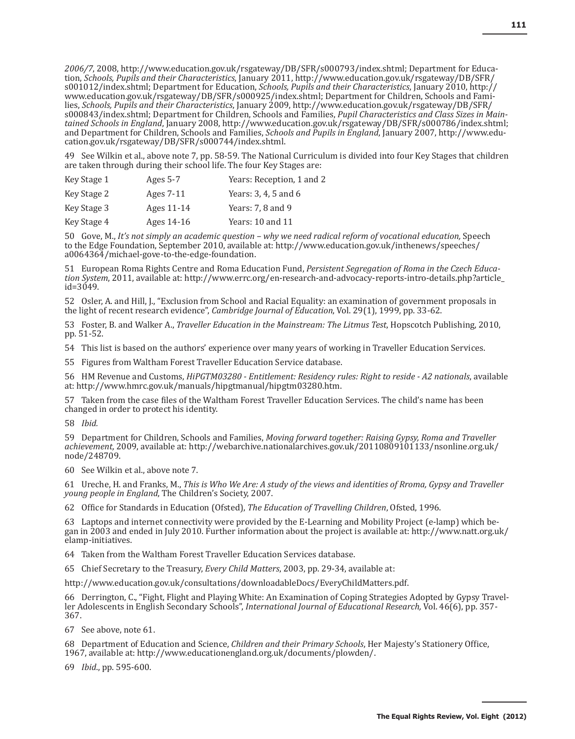*2006/7*, 2008, http://www.education.gov.uk/rsgateway/DB/SFR/s000793/index.shtml; Department for Education, *Schools, Pupils and their Characteristics*, January 2011, http://www.education.gov.uk/rsgateway/DB/SFR/ s001012/index.shtml; Department for Education, *Schools, Pupils and their Characteristics*, January 2010, http:// www.education.gov.uk/rsgateway/DB/SFR/s000925/index.shtml; Department for Children, Schools and Families, *Schools, Pupils and their Characteristics*, January 2009, http://www.education.gov.uk/rsgateway/DB/SFR/ s000843/index.shtml; Department for Children, Schools and Families, *Pupil Characteristics and Class Sizes in Maintained Schools in England*, January 2008, http://www.education.gov.uk/rsgateway/DB/SFR/s000786/index.shtml; and Department for Children, Schools and Families, *Schools and Pupils in England*, January 2007, http://www.education.gov.uk/rsgateway/DB/SFR/s000744/index.shtml.

49 See Wilkin et al., above note 7, pp. 58-59. The National Curriculum is divided into four Key Stages that children are taken through during their school life. The four Key Stages are:

| Key Stage 1 | Ages $5-7$  | Years: Reception, 1 and 2 |
|-------------|-------------|---------------------------|
| Key Stage 2 | Ages $7-11$ | Years: 3, 4, 5 and 6      |
| Key Stage 3 | Ages 11-14  | Years: $7.8$ and $9$      |
| Key Stage 4 | Ages 14-16  | Years: 10 and 11          |

50 Gove, M., *It's not simply an academic question – why we need radical reform of vocational education,* Speech to the Edge Foundation, September 2010, available at: http://www.education.gov.uk/inthenews/speeches/ a0064364/michael-gove-to-the-edge-foundation.

51 European Roma Rights Centre and Roma Education Fund, *Persistent Segregation of Roma in the Czech Education System*, 2011, available at: http://www.errc.org/en-research-and-advocacy-reports-intro-details.php?article\_  $id = 3049.$ 

52 Osler, A. and Hill, J., "Exclusion from School and Racial Equality: an examination of government proposals in the light of recent research evidence", *Cambridge Journal of Education*, Vol. 29(1), 1999, pp. 33-62.

53 Foster, B. and Walker A., *Traveller Education in the Mainstream: The Litmus Test*, Hopscotch Publishing, 2010, pp. 51-52.

54 This list is based on the authors' experience over many years of working in Traveller Education Services.

55 Figures from Waltham Forest Traveller Education Service database.

56 HM Revenue and Customs, *HiPGTM03280 - Entitlement: Residency rules: Right to reside - A2 nationals*, available at: http://www.hmrc.gov.uk/manuals/hipgtmanual/hipgtm03280.htm.

57 Taken from the case files of the Waltham Forest Traveller Education Services. The child's name has been changed in order to protect his identity.

58 *Ibid.*

59 Department for Children, Schools and Families, *Moving forward together: Raising Gypsy, Roma and Traveller achievement,* 2009, available at: http://webarchive.nationalarchives.gov.uk/20110809101133/nsonline.org.uk/ node/248709.

60 See Wilkin et al., above note 7.

61 Ureche, H. and Franks, M., *This is Who We Are: A study of the views and identities of Rroma, Gypsy and Traveller young people in England*, The Children's Society, 2007.

62 Office for Standards in Education (Ofsted), *The Education of Travelling Children*, Ofsted, 1996.

63 Laptops and internet connectivity were provided by the E-Learning and Mobility Project (e-lamp) which began in 2003 and ended in July 2010. Further information about the project is available at: http://www.natt.org.uk/ elamp-initiatives.

64 Taken from the Waltham Forest Traveller Education Services database.

65 Chief Secretary to the Treasury, *Every Child Matters*, 2003, pp. 29-34, available at:

http://www.education.gov.uk/consultations/downloadableDocs/EveryChildMatters.pdf.

66 Derrington, C., "Fight, Flight and Playing White: An Examination of Coping Strategies Adopted by Gypsy Traveller Adolescents in English Secondary Schools", *International Journal of Educational Research,* Vol. 46(6), pp. 357- 367.

67 See above, note 61.

68 Department of Education and Science, *Children and their Primary Schools*, Her Majesty's Stationery Office, 1967, available at: http://www.educationengland.org.uk/documents/plowden/.

69 *Ibid*., pp. 595-600.